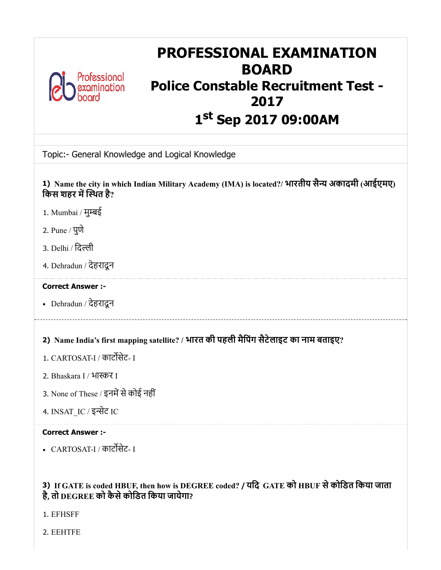

## PROFESSIONAL EXAMINATION BOARD Police Constable Recruitment Test - 2017 1 st Sep 2017 09:00AM

Topic:- General Knowledge and Logical Knowledge

1) Name the city in which Indian Military Academy (IMA) is located?/ भारतीय सैन्य अकादमी (आईएमए) किस शहर में स्थित है?

- 1. Mumbai / मुबई
- 2. Pune / पुणे
- 3. Delhi / िदली
- 4. Dehradun / देहरादून

## Correct Answer :-

Dehradun / देहरादून

## 2) Name India's first mapping satellite? / भारत की पहली मैिपंग सैटेलाइट का नाम बताइए?

- 1. CARTOSAT-I / काटसेट- I
- 2. Bhaskara I / भाकर I
- 3. None of These / इनमें से कोई नहीं
- 4. INSAT\_IC / इसेट IC

## Correct Answer :-

• CARTOSAT-I / कार्टोसेट- I

## 3) If GATE is coded HBUF, then how is DEGREE coded? / यिद GATE को HBUF सेकोिडत िकया जाता है, तो DEGREE को कैसेकोिडत िकया जायेगा?

1. EFHSFF

2. EEHTFE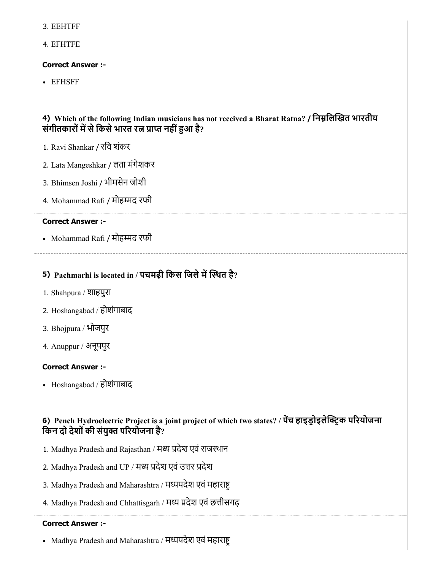- 3. EEHTFF
- 4. EFHTFE

## Correct Answer :-

EFHSFF

## 4) Which of the following Indian musicians has not received a Bharat Ratna? / निम्नलिखित भारतीय संगीतकारों में से किसे भारत रत्न प्राप्त नहीं हुआ है?

- 1. Ravi Shankar / रिव शंकर
- 2. Lata Mangeshkar / लता मंगेशकर
- 3. Bhimsen Joshi / भीमसेन जोशी
- 4. Mohammad Rafi / मोहम्मद रफी

## Correct Answer :-

• Mohammad Rafi / मोहम्मद रफी

## 5) Pachmarhi is located in / पचमढ़ी किस जिले में स्थित है?

- 1. Shahpura / शाहपुरा
- 2. Hoshangabad / होशंगाबाद
- 3. Bhojpura / भोजपुर
- 4. Anuppur / अनूपपुर

## Correct Answer :-

• Hoshangabad / होशंगाबाद

## 6) Pench Hydroelectric Project is a joint project of which two states? / पेच हाइड्रोइलेक्ट्रिक परियोजना किन दो देशों की संयुक्त परियोजना है?

- 1. Madhya Pradesh and Rajasthan / मध्य प्रदेश एवं राजस्थान
- 2. Madhya Pradesh and UP / मध्य प्रदेश एवं उत्तर प्रदेश
- 3. Madhya Pradesh and Maharashtra / मध्यपदेश एवं महाराष्ट्
- 4. Madhya Pradesh and Chhattisgarh / मध्य प्रदेश एवं छत्तीसगढ़

## Correct Answer :-

• Madhya Pradesh and Maharashtra / मध्यपदेश एवं महाराष्ट्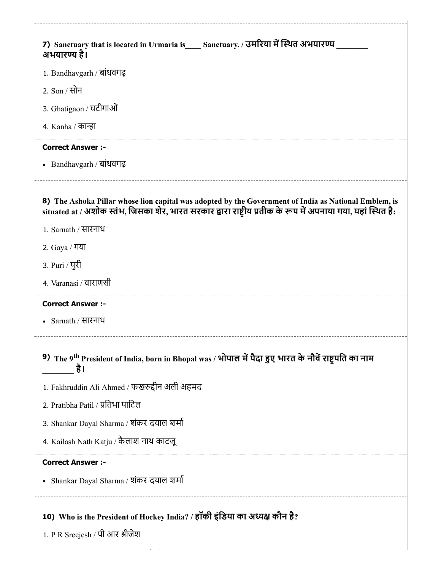| 7) Sanctuary that is located in Urmaria is Sanctuary. / उमरिया में स्थित अभयारण्य<br>अभयारण्य है।                                                                                                                      |
|------------------------------------------------------------------------------------------------------------------------------------------------------------------------------------------------------------------------|
| 1. Bandhavgarh / बांधवगढ़                                                                                                                                                                                              |
| 2. Son / सोन                                                                                                                                                                                                           |
| 3. Ghatigaon / घटीगाओं                                                                                                                                                                                                 |
| 4. Kanha / कान्हा                                                                                                                                                                                                      |
| <b>Correct Answer:-</b>                                                                                                                                                                                                |
| • Bandhavgarh / बांधवगढ़                                                                                                                                                                                               |
| 8) The Ashoka Pillar whose lion capital was adopted by the Government of India as National Emblem, is<br>situated at / अशोक स्तंभ, जिसका शेर, भारत सरकार द्वारा राष्ट्रीय प्रतीक के रूप में अपनाया गया, यहां स्थित है: |
| 1. Sarnath / सारनाथ                                                                                                                                                                                                    |
| 2. Gaya / गया                                                                                                                                                                                                          |
| 3. Puri / पुरी                                                                                                                                                                                                         |
| 4. Varanasi / वाराणसी                                                                                                                                                                                                  |
| <b>Correct Answer :-</b>                                                                                                                                                                                               |
| • Sarnath / सारनाथ                                                                                                                                                                                                     |
| 9) The 9 <sup>th</sup> President of India, born in Bhopal was / भोपाल में पैदा हुए भारत के नौवें राष्ट्रपति का नाम<br>है।                                                                                              |
| 1. Fakhruddin Ali Ahmed / फखरुद्दीन अली अहमद                                                                                                                                                                           |
| 2. Pratibha Patil / प्रतिभा पाटिल                                                                                                                                                                                      |
| 3. Shankar Dayal Sharma / शंकर दयाल शर्मा                                                                                                                                                                              |
| 4. Kailash Nath Katju / कैलाश नाथ काटजू                                                                                                                                                                                |
| <b>Correct Answer :-</b>                                                                                                                                                                                               |
| • Shankar Dayal Sharma / शंकर दयाल शर्मा                                                                                                                                                                               |
| 10) Who is the President of Hockey India? / हॉकी इंडिया का अध्यक्ष कौन है?<br>1. P R Sreejesh / पी आर श्रीजेश                                                                                                          |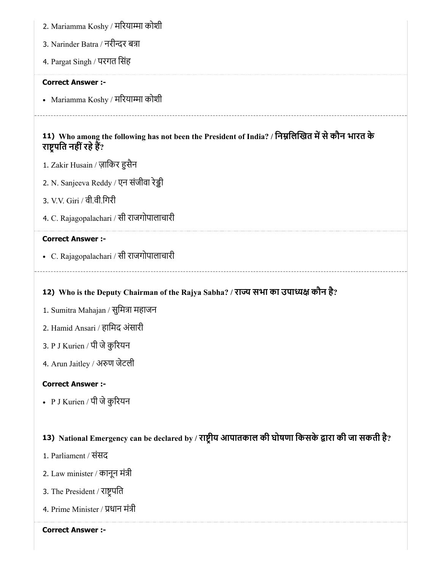11) Who among the following has not been the President of India? / निम्नलिखित में से कौन भारत के 2. Mariamma Koshy / मरियाम्मा कोशी 3. Narinder Batra / नरीन्दर बत्रा 4. Pargat Singh / परगत िसंह Correct Answer :- • Mariamma Koshy / मरियाम्मा कोशी राष्ट्रपति नहीं रहे हैं? 1. Zakir Husain / ज़ािकर सैन 2. N. Sanjeeva Reddy / एन संजीवा रेड्डी 3. V.V. Giri / वी.वी.िगरी 4. C. Rajagopalachari / सी राजगोपालाचारी Correct Answer :- C. Rajagopalachari / सी राजगोपालाचारी

## 12) Who is the Deputy Chairman of the Rajya Sabha? / राज्य सभा का उपाध्यक्ष कौन है?

- 1. Sumitra Mahajan / सुमित्रा महाजन
- 2. Hamid Ansari / हािमद अंसारी
- 3. P J Kurien / पी जेकुरयन
- 4. Arun Jaitley / अण जेटली

#### Correct Answer :-

• P J Kurien / पी जे कुरियन

## 13) National Emergency can be declared by / राष्ट्रीय आपातकाल की घोषणा किसके द्वारा की जा सकती है?

- 1. Parliament / संसद
- 2. Law minister / कानून मंत्री
- 3. The President / राष्ट्रपति
- 4. Prime Minister / प्रधान मंत्री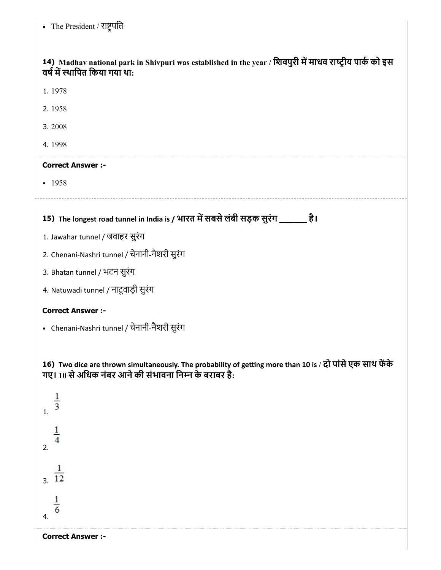14) Madhav national park in Shivpuri was established in the year / शिवपुरी में माधव राष्ट्रीय पार्क को इस वर्ष में स्थापित किया गया था:

- 1. 1978
- 2. 1958
- 3. 2008
- 4. 1998

## Correct Answer :-

 $-1958$ 

15) The longest road tunnel in India is / भारत में सबसे लंबी सड़क सुरंग \_\_\_\_\_\_\_ है।

- 1. Jawahar tunnel / जवाहर सुरंग
- 2. Chenani-Nashri tunnel / चेनानी-नैशरी सुरंग
- 3. Bhatan tunnel / भटन सुरंग
- 4. Natuwadi tunnel / नाटूवाड़ी सुरंग

## Correct Answer :-

Chenani-Nashri tunnel / चेनानी-नैशरी सुरंग

16) Two dice are thrown simultaneously. The probability of getting more than 10 is / दो पासे एक साथ फेंके गए। 10 से अधिक नंबर आने की संभावना निम्न के बराबर है:

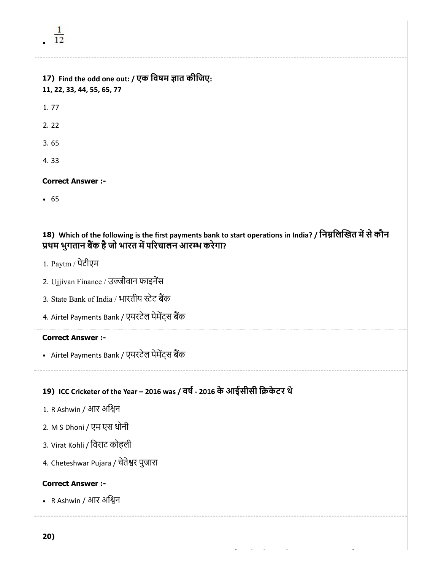4. 33

## Correct Answer :-

• 65

## 18) Which of the following is the first payments bank to start operations in India? / निम्नलिखित में से कौन प्रथम भुगतान बैंक है जो भारत में परिचालन आरम्भ करेगा?

- 1. Paytm / पेटीएम
- 2. Ujjivan Finance / उजीवान फाइनस
- 3. State Bank of India / भारतीय स्टेट बैंक
- 4. Airtel Payments Bank / एयरटेल पेमेंट्स बैंक

## Correct Answer :-

• Airtel Payments Bank / एयरटेल पेमेंट्स बैंक

## 19) ICC Cricketer of the Year – 2016 was / वष- 2016 केआईसीसी िकेटर थे

- 1. R Ashwin / आर अिन
- 2. M S Dhoni / एम एस धोनी
- 3. Virat Kohli / िवराट कोहली
- 4. Cheteshwar Pujara / चेतेश्वर पुजारा

## Correct Answer :-

• R Ashwin / आर अश्विन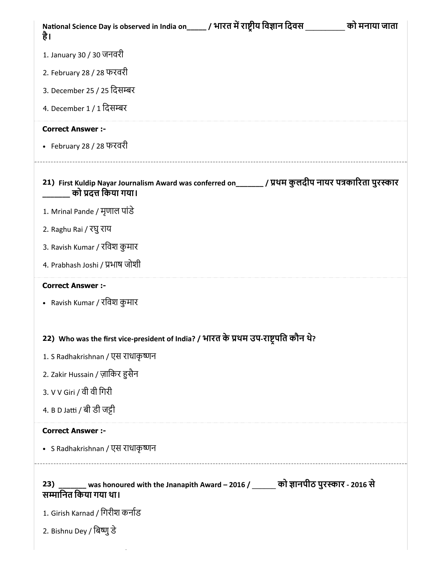| National Science Day is observed in India on_____ / भारत में राष्ट्रीय विज्ञान दिवस ___<br>को मनाया जाता<br>है।                 |
|---------------------------------------------------------------------------------------------------------------------------------|
| 1. January 30 / 30 जनवरी                                                                                                        |
| 2. February 28 / 28 फरवरी                                                                                                       |
| 3. December 25 / 25 दिसम्बर                                                                                                     |
| 4. December 1 / 1 दिसम्बर                                                                                                       |
| <b>Correct Answer :-</b>                                                                                                        |
| • February 28 / 28 फरवरी                                                                                                        |
| 21) First Kuldip Nayar Journalism Award was conferred on_______ / प्रथम कुलदीप नायर पत्रकारिता पुरस्कार<br>को प्रदत्त किया गया। |
| 1. Mrinal Pande / मृणाल पांडे                                                                                                   |
| 2. Raghu Rai / रघु राय                                                                                                          |
| 3. Ravish Kumar / रविश कुमार                                                                                                    |
| 4. Prabhash Joshi / प्रभाष जोशी                                                                                                 |
| <b>Correct Answer :-</b>                                                                                                        |
| • Ravish Kumar / रविश कुमार                                                                                                     |
| 22) Who was the first vice-president of India? / भारत के प्रथम उप-राष्ट्रपति कौन थे?                                            |
| 1. S Radhakrishnan / एस राधाकृष्णन                                                                                              |
| 2. Zakir Hussain / ज़ाकिर हुसैन                                                                                                 |
| 3. V V Giri / वी वी गिरी                                                                                                        |
| 4. B D Jatti / बी डी जट्टी                                                                                                      |
| <b>Correct Answer :-</b>                                                                                                        |
| • S Radhakrishnan / एस राधाकृष्णन                                                                                               |
| _____ was honoured with the Jnanapith Award – 2016 / ______ को ज्ञानपीठ पुरस्कार - 2016 से<br>23)<br>सम्मानित किया गया था।      |
| 1. Girish Karnad / गिरीश कर्नाड                                                                                                 |
| 2. Bishnu Dey / बिष्णु डे                                                                                                       |
|                                                                                                                                 |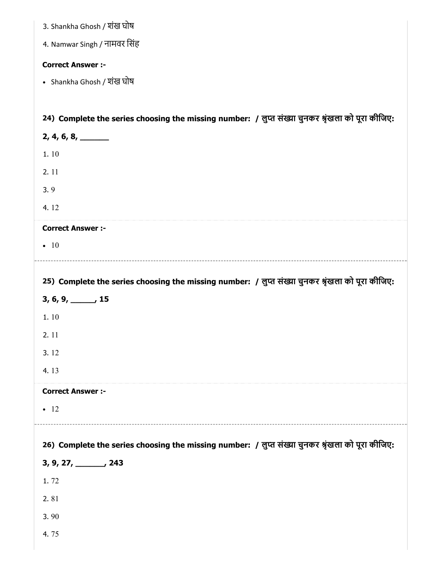| 3. Shankha Ghosh / शंख घोष                                                                        |
|---------------------------------------------------------------------------------------------------|
| 4. Namwar Singh / नामवर सिंह                                                                      |
| <b>Correct Answer :-</b>                                                                          |
| • Shankha Ghosh / शंख घोष                                                                         |
|                                                                                                   |
| 24) Complete the series choosing the missing number: / लुप्त संख्या चुनकर श्रृंखला को पूरा कीजिए: |
| $2, 4, 6, 8, \underline{\hspace{1cm}}$                                                            |
| 1.10                                                                                              |
| 2.11                                                                                              |
| 3.9                                                                                               |
| 4.12                                                                                              |
| <b>Correct Answer :-</b>                                                                          |
| $\bullet$ 10                                                                                      |
|                                                                                                   |
| 25) Complete the series choosing the missing number: / लुप्त संख्या चुनकर श्रृंखला को पूरा कीजिए: |
|                                                                                                   |
| $3, 6, 9, \underline{\hspace{1cm}} 15$                                                            |
| 1.10                                                                                              |
| 2.11                                                                                              |
| 3.12                                                                                              |
| 4.13                                                                                              |
| <b>Correct Answer :-</b>                                                                          |
| $\bullet$ 12                                                                                      |
|                                                                                                   |
| 26) Complete the series choosing the missing number: / लुप्त संख्या चुनकर श्रृंखला को पूरा कीजिए: |
| $3, 9, 27, \_\_\_\_$ , 243                                                                        |
| 1.72                                                                                              |
| 2.81                                                                                              |
| 3.90<br>4.75                                                                                      |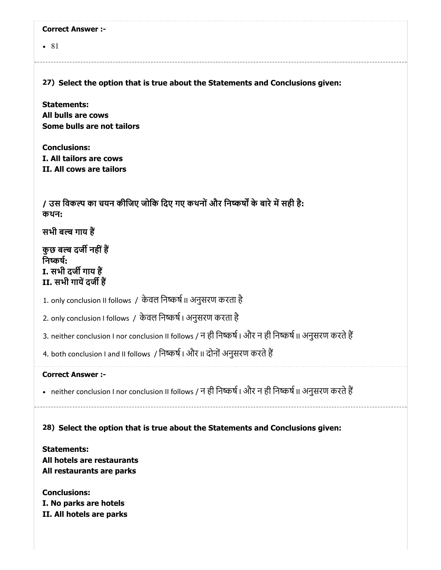| <b>Correct Answer:-</b>                                                                                 |
|---------------------------------------------------------------------------------------------------------|
| $\bullet$ 81                                                                                            |
|                                                                                                         |
| 27) Select the option that is true about the Statements and Conclusions given:                          |
| <b>Statements:</b>                                                                                      |
| All bulls are cows<br>Some bulls are not tailors                                                        |
|                                                                                                         |
| <b>Conclusions:</b><br>I. All tailors are cows                                                          |
| II. All cows are tailors                                                                                |
|                                                                                                         |
| / उस विकल्प का चयन कीजिए जोकि दिए गए कथनों और निष्कर्षों के बारे में सही है:<br>कथन:                    |
| सभी बल्ब गाय हैं                                                                                        |
| कुछ बल्ब दर्जी नहीं हैं                                                                                 |
| निष्कर्ष:<br>I. सभी दर्जी गाय हैं                                                                       |
| II. सभी गायें दर्जी हैं                                                                                 |
| 1. only conclusion II follows / केवल निष्कर्ष II अनुसरण करता है                                         |
| 2. only conclusion I follows / केवल निष्कर्ष । अनुसरण करता है                                           |
| 3. neither conclusion I nor conclusion II follows / न ही निष्कर्ष । और न ही निष्कर्ष II अनुसरण करते हैं |
| 4. both conclusion I and II follows / निष्कर्ष । और II दोनों अनुसरण करते हैं                            |
| <b>Correct Answer:-</b>                                                                                 |
| • neither conclusion I nor conclusion II follows / न ही निष्कर्ष । और न ही निष्कर्ष II अनुसरण करते हैं  |
| 28) Select the option that is true about the Statements and Conclusions given:                          |
|                                                                                                         |
| <b>Statements:</b><br>All hotels are restaurants<br>All restaurants are parks                           |
| <b>Conclusions:</b>                                                                                     |
| I. No parks are hotels<br>II. All hotels are parks                                                      |
|                                                                                                         |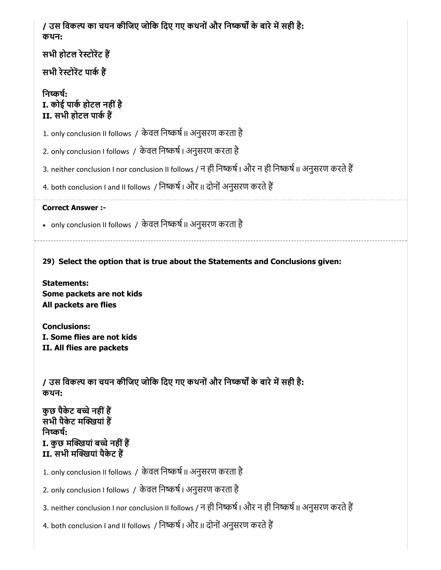| / उस विकल्प का चयन कीजिए जोकि दिए गए कथनों और निष्कर्षों के बारे में सही है:<br>कथन:                                            |
|---------------------------------------------------------------------------------------------------------------------------------|
| सभी होटल रेस्टोरेंट हैं                                                                                                         |
| सभी रेस्टोरेंट पार्क हैं                                                                                                        |
| निष्कर्ष:<br>I. कोई पार्क होटल नहीं है<br>II. सभी होटल पार्क हैं                                                                |
| 1. only conclusion II follows / केवल निष्कर्ष II अनुसरण करता है                                                                 |
| 2. only conclusion I follows / केवल निष्कर्ष । अनुसरण करता है                                                                   |
| 3. neither conclusion I nor conclusion II follows / न ही निष्कर्ष । और न ही निष्कर्ष II अनुसरण करते हैं                         |
| 4. both conclusion I and II follows / निष्कर्ष । और II दोनों अनुसरण करते हैं                                                    |
| <b>Correct Answer :-</b>                                                                                                        |
| • only conclusion II follows / केवल निष्कर्ष II अनुसरण करता है                                                                  |
| 29) Select the option that is true about the Statements and Conclusions given:                                                  |
| <b>Statements:</b>                                                                                                              |
| Some packets are not kids<br>All packets are flies                                                                              |
| <b>Conclusions:</b><br>I. Some flies are not kids<br>II. All flies are packets                                                  |
| / उस विकल्प का चयन कीजिए जोकि दिए गए कथनों और निष्कर्षों के बारे में सही है:<br>कथन:                                            |
| कुछ पैकेट बच्चे नहीं हैं<br>सभी पैकेट मक्खियां हैं<br>निष्कर्ष:<br>I. कुछ मक्खियां बच्चे नहीं हैं<br>II. सभी मक्खियां पैकेट हैं |
| 1. only conclusion II follows / केवल निष्कर्ष II अनुसरण करता है                                                                 |
| 2. only conclusion I follows / केवल निष्कर्ष । अनुसरण करता है                                                                   |
| 3. neither conclusion I nor conclusion II follows / न ही निष्कर्ष । और न ही निष्कर्ष II अनुसरण करते हैं                         |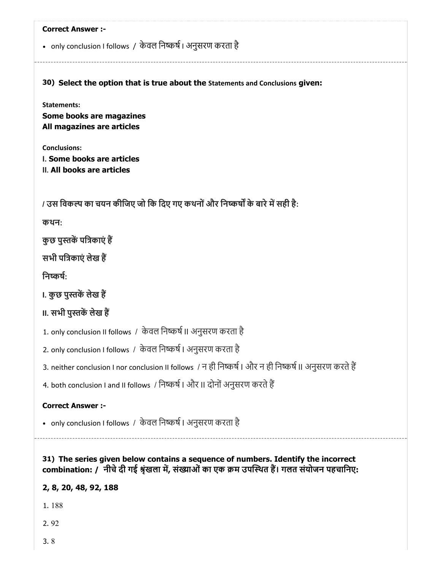|                                                        | • only conclusion I follows / केवल निष्कर्ष । अनुसरण करता है                                            |
|--------------------------------------------------------|---------------------------------------------------------------------------------------------------------|
|                                                        | 30) Select the option that is true about the Statements and Conclusions given:                          |
| <b>Statements:</b>                                     |                                                                                                         |
| Some books are magazines<br>All magazines are articles |                                                                                                         |
| <b>Conclusions:</b><br>I. Some books are articles      |                                                                                                         |
| II. All books are articles                             |                                                                                                         |
|                                                        | / उस विकल्प का चयन कीजिए जो कि दिए गए कथनों और निष्कर्षों के बारे में सही है:                           |
| कथन:                                                   |                                                                                                         |
| कुछ पुस्तकें पत्रिकाएं हैं                             |                                                                                                         |
| सभी पत्रिकाएं लेख हैं                                  |                                                                                                         |
| निष्कर्ष:                                              |                                                                                                         |
| ।. कुछ पुस्तकें लेख हैं                                |                                                                                                         |
| ॥. सभी पुस्तकें लेख हैं                                |                                                                                                         |
|                                                        | 1. only conclusion II follows / केवल निष्कर्ष II अनुसरण करता है                                         |
|                                                        | 2. only conclusion I follows / केवल निष्कर्ष । अनुसरण करता है                                           |
|                                                        | 3. neither conclusion I nor conclusion II follows / न ही निष्कर्ष । और न ही निष्कर्ष II अनुसरण करते हैं |
|                                                        | 4. both conclusion I and II follows / निष्कर्ष   और II दोनों अनुसरण करते हैं                            |
| <b>Correct Answer :-</b>                               |                                                                                                         |
|                                                        | • only conclusion I follows / केवल निष्कर्ष । अनुसरण करता है                                            |

T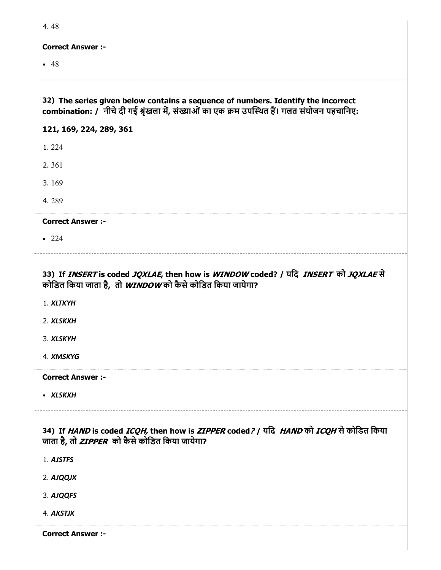| ×<br>۰. |
|---------|
|         |

#### Correct Answer :-

 $-48$ 

32) The series given below contains a sequence of numbers. Identify the incorrect combination: / नीचे दी गई श्रृंखला में, संख्याओं का एक क्रम उपस्थित हैं। गलत संयोजन पहचानिए:

#### 121, 169, 224, 289, 361

1. 224

2. 361

3. 169

4. 289

#### Correct Answer :-

• 224

## 33) If *INSERT* is coded *JQXLAE*, then how is *WINDOW* coded? / यदि *INSERT को JQXLAE* से कोडित किया जाता है, तो WINDOW को कैसे कोडित किया जायेगा?

1. XLTKYH

2. XLSKXH

3. XLSKYH

4. XMSKYG

Correct Answer :-

XLSKXH

## 34) If *HAND* is coded *ICQH,* then how is *ZIPPER* coded*? |* यदि *HAND* को *ICQH* से कोडित किया जाता है, तो *ZIPPER* को कैसे कोडित किया जायेगा?

1. AJSTFS

2. AJQQJX

3. AJQQFS

4. AKSTJX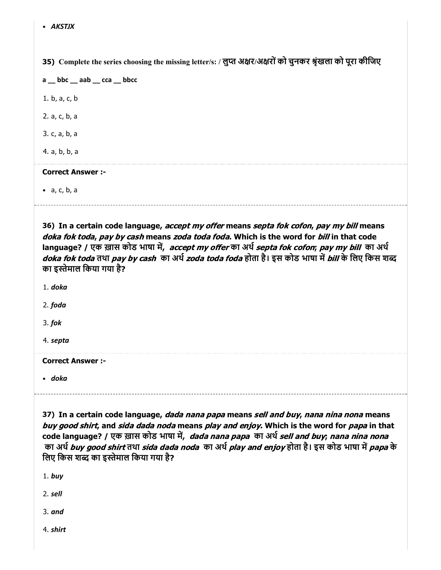35) Complete the series choosing the missing letter/s: / लुप्त अक्षर/अक्षरों को चुनकर श्रृखला को पूरा कीजिए

a \_\_ bbc \_\_ aab \_\_ cca \_\_ bbcc 1. b, a, c, b 2. a, c, b, a

3. c, a, b, a

4. a, b, b, a

#### Correct Answer :-

a, c, b, a

36) In a certain code language, *accept my offer* means *septa fok cofon, pay my bill* means doka fok toda, pay by cash means zoda toda foda. Which is the word for bill in that code language? / एक ख़ास कोड भाषा में, accept my offer का अर्थ septa fok cofon; pay my bill का अर्थ doka fok toda तथा pay by cash का अर्थ *zoda toda foda* होता है। इस कोड भाषा में bill के लिए किस शब्द का इस्तेमाल किया गया है?

1. doka

2. foda

3. fok

4. septa

Correct Answer :-

doka

37) In a certain code language, *dada nana papa* means *sell and buy, nana nina nona* means buy good shirt, and sida dada noda means play and enjoy. Which is the word for papa in that code language? / एक ख़ास कोड भाषा में, *dada nana papa का अर्थ sell and buy; nana nina nona* का अर्थ buy good shirt तथा sida dada noda का अर्थ play and enjoy होता है। इस कोड भाषा में papa के लिए किस शब्द का इस्तेमाल किया गया है?

1. buy

2. sell

3. and

4. shirt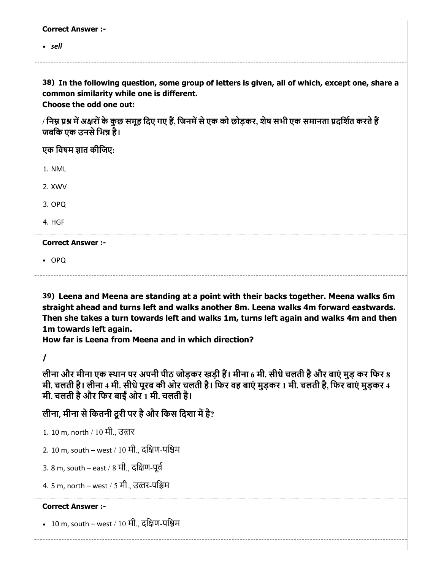#### Correct Answer :-

• sell

38) In the following question, some group of letters is given, all of which, except one, share a common similarity while one is different. Choose the odd one out:

/ निम्न प्रश्न में अक्षरों के कुछ समूह दिए गए हैं, जिनमें से एक को छोड़कर, शेष सभी एक समानता प्रदर्शित करते हैं जबकि एक उनसे भिन्न है।

एक विषम ज्ञात कीजिए:

1. NML

2. XWV

3. OPQ

4. HGF

#### Correct Answer :-

OPQ

39) Leena and Meena are standing at a point with their backs together. Meena walks 6m straight ahead and turns left and walks another 8m. Leena walks 4m forward eastwards. Then she takes a turn towards left and walks 1m, turns left again and walks 4m and then 1m towards left again.

How far is Leena from Meena and in which direction?

/

लीना और मीना एक स्थान पर अपनी पीठ जोड़कर खड़ी हैं। मीना 6 मी. सीधे चलती है और बाएं मुड़ कर फिर 8 मी. चलती है। लीना 4 मी. सीधेपूरब की ओर चलती है। िफर वह बाएं मुड़कर 1 मी. चलती है, िफर बाएं मुड़कर 4 मी. चलती है और फिर बाईं ओर 1 मी. चलती है।

लीना, मीना से कितनी दूरी पर है और किस दिशा में है?

1. 10 m, north / 10 मी., उतर

2. 10 m, south – west / 10 मी., दिण-पिम

3. 8 m, south – east / 8 मी., दिण-पूव

4. 5 m, north – west / 5 मी., उतर-पिम

## Correct Answer :-

• 10 m, south – west / 10 मी., दक्षिण-पश्चिम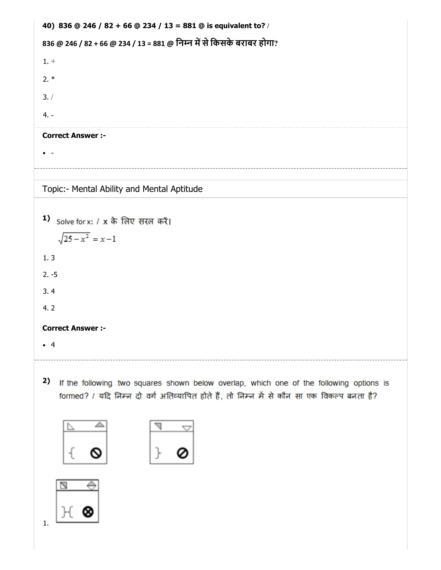```
40)
836 @ 246 / 82 + 66 @ 234 / 13 = 881 @ is equivalent to? /
836 @ 246 / 82 + 66 @ 234 / 13 = 881 @ निम्न में से किसके बराबर होगा?
1. +
2. *
3. /
4. -
Correct Answer :-
\bullet -
Topic:- Mental Ability and Mental Aptitude
1) solve for x: / x के लिए सरल करें।
    \sqrt{25-x^2} = x-11. 3
2. -5
3. 4
4. 2
Correct Answer :-
4
```
2) If the following two squares shown below overlap, which one of the following options is formed? / यदि निम्न दो वर्ग अतिव्यापित होते हैं, तो निम्न में से कौन सा एक विकल्प बनता है?





1.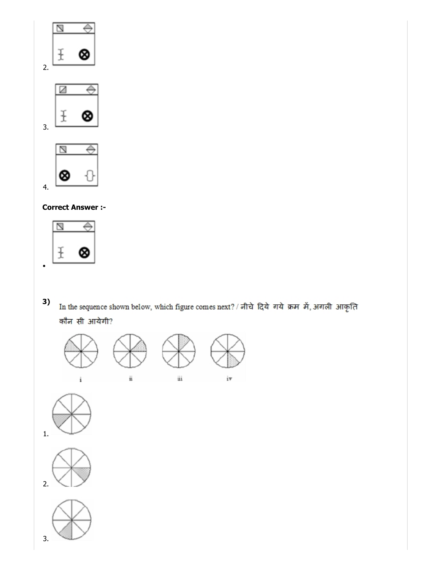

## Correct Answer :-



3) In the sequence shown below, which figure comes next? / नीचे दिये गये क्रम में, अगली आकृति कौन सी आयेगी?







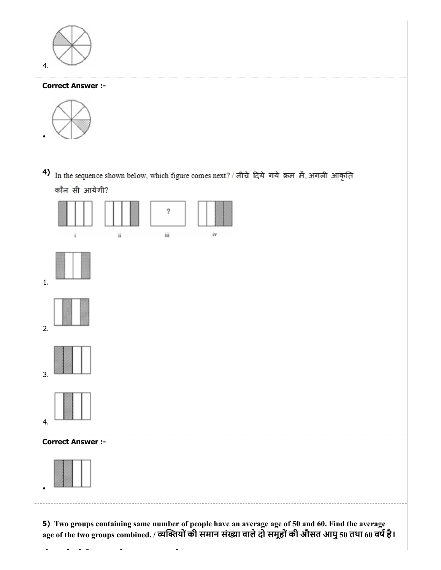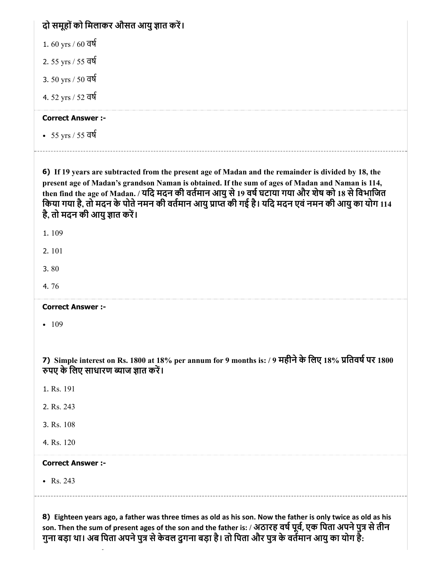| दो समूहों को मिलाकर औसत आयु ज्ञात करें।                                                                                                                                                                                                                                                                                                                                                                                                             |
|-----------------------------------------------------------------------------------------------------------------------------------------------------------------------------------------------------------------------------------------------------------------------------------------------------------------------------------------------------------------------------------------------------------------------------------------------------|
| $1.60$ yrs / $60$ वर्ष                                                                                                                                                                                                                                                                                                                                                                                                                              |
| 2. 55 yrs / 55 বর্ষ                                                                                                                                                                                                                                                                                                                                                                                                                                 |
| 3. 50 yrs / 50 वर्ष                                                                                                                                                                                                                                                                                                                                                                                                                                 |
| 4.52 yrs / 52 वर्ष                                                                                                                                                                                                                                                                                                                                                                                                                                  |
| <b>Correct Answer :-</b>                                                                                                                                                                                                                                                                                                                                                                                                                            |
| • 55 yrs / 55 वर्ष                                                                                                                                                                                                                                                                                                                                                                                                                                  |
| 6) If 19 years are subtracted from the present age of Madan and the remainder is divided by 18, the<br>present age of Madan's grandson Naman is obtained. If the sum of ages of Madan and Naman is 114,<br>then find the age of Madan. / यदि मदन की वर्तमान आयु से 19 वर्ष घटाया गया और शेष को 18 से विभाजित<br>किया गया है, तो मदन के पोते नमन की वर्तमान आयु प्राप्त की गई है। यदि मदन एवं नमन की आयु का योग 114<br>है, तो मदन की आयु ज्ञात करें। |
| 1.109                                                                                                                                                                                                                                                                                                                                                                                                                                               |
| 2.101                                                                                                                                                                                                                                                                                                                                                                                                                                               |
| 3.80                                                                                                                                                                                                                                                                                                                                                                                                                                                |
| 4.76                                                                                                                                                                                                                                                                                                                                                                                                                                                |
| <b>Correct Answer :-</b>                                                                                                                                                                                                                                                                                                                                                                                                                            |
| 109                                                                                                                                                                                                                                                                                                                                                                                                                                                 |
| 7) Simple interest on Rs. 1800 at 18% per annum for 9 months is: / 9 महीने के लिए 18% प्रतिवर्ष पर 1800<br>रुपए के लिए साधारण ब्याज ज्ञात करें।                                                                                                                                                                                                                                                                                                     |
| 1. Rs. 191                                                                                                                                                                                                                                                                                                                                                                                                                                          |
| 2. Rs. 243                                                                                                                                                                                                                                                                                                                                                                                                                                          |
| 3. Rs. 108                                                                                                                                                                                                                                                                                                                                                                                                                                          |
| 4. Rs. 120                                                                                                                                                                                                                                                                                                                                                                                                                                          |
| <b>Correct Answer :-</b>                                                                                                                                                                                                                                                                                                                                                                                                                            |
| • $Rs. 243$                                                                                                                                                                                                                                                                                                                                                                                                                                         |
|                                                                                                                                                                                                                                                                                                                                                                                                                                                     |

8) Eighteen years ago, a father was three times as old as his son. Now the father is only twice as old as his son. Then the sum of present ages of the son and the father is: / अठारह वर्ष पूर्व, एक पिता अपने पुत्र से तीन गुना बड़ा था। अब पिता अपने पुत्र से केवल दुगना बड़ा है। तो पिता और पुत्र के वर्तमान आयु का योग है: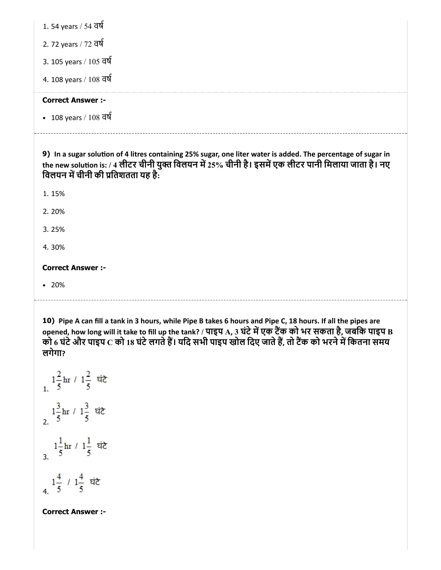1. 54 years / 54 वष

2. 72 years / 72 वष

3. 105 years / 105 वष

4. 108 years / 108 वष

#### Correct Answer :-

108 years / 108 वष

9) In a sugar solution of 4 litres containing 25% sugar, one liter water is added. The percentage of sugar in the new solution is: / 4 लीटर चीनी युक्त विलयन में 25% चीनी है। इसमें एक लीटर पानी मिलाया जाता है। नए विलयन में चीनी की प्रतिशतता यह है:

1. 15%

2. 20%

3. 25%

4. 30%

#### Correct Answer :-

20%

10) Pipe A can fill a tank in 3 hours, while Pipe B takes 6 hours and Pipe C, 18 hours. If all the pipes are opened, how long will it take to fill up the tank? / पाइप  ${\bf A}$ , 3 घंटे में एक टैंक को भर सकता है, जबकि पाइप  ${\bf B}$ को 6 घंटे और पाइप C को 18 घंटे लगते हैं। यदि सभी पाइप खोल दिए जाते हैं, तो टैंक को भरने में कितना समय लगेगा?

 $\frac{1}{5}$ hr /  $1\frac{2}{5}$  घंटे  $\frac{1\frac{3}{5}$ hr /  $1\frac{3}{5}$  घंटे  $\frac{1}{3}$   $\ln t / \frac{1}{5}$  ਬੱਟੇ 4.  $1\frac{4}{5}$  /  $1\frac{4}{5}$  घंटे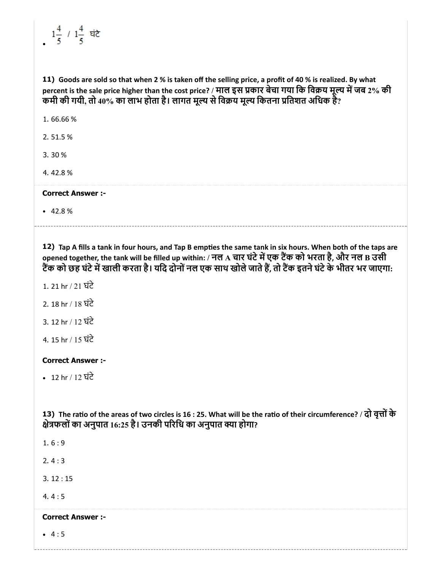# $1\frac{4}{5}$  /  $1\frac{4}{5}$  घंटे

11) Goods are sold so that when 2 % is taken off the selling price, a profit of 40 % is realized. By what percent is the sale price higher than the cost price? / माल इस प्रकार बेचा गया कि विक्रय मूल्य में जब 2% की कमी की गयी, तो 40% का लाभ होता है। लागत मूल्य से विक्रय मूल्य कितना प्रतिशत अधिक हैं?

1. 66.66 %

2. 51.5 %

3. 30 %

4. 42.8 %

Correct Answer :-

 $-42.8%$ 

12) Tap A fills a tank in four hours, and Tap B empties the same tank in six hours. When both of the taps are opened together, the tank will be filled up within: / नल A चार घंटे में एक टैंक को भरता है, और नल B उसी टैंक को छह घंटे में खाली करता है। यदि दोनों नल एक साथ खोले जाते हैं, तो टैंक इतने घंटे के भीतर भर जाएगा:

- 1. 21 hr / 21 घंटे
- 2. 18 hr / 18 घंटे
- 3. 12 hr / 12 घंटे
- 4. 15 hr / 15 घंटे

#### Correct Answer :-

12 hr / 12 घंटे

13) The ratio of the areas of two circles is 16 : 25. What will be the ratio of their circumference? / दो वृत्तों के क्षेत्रफलों का अनुपात 16:25 है। उनकी परिधि का अनुपात क्या होगा?

1. 6 : 9

2. 4 : 3

3. 12 : 15

4. 4 : 5

## Correct Answer :-

 $-4:5$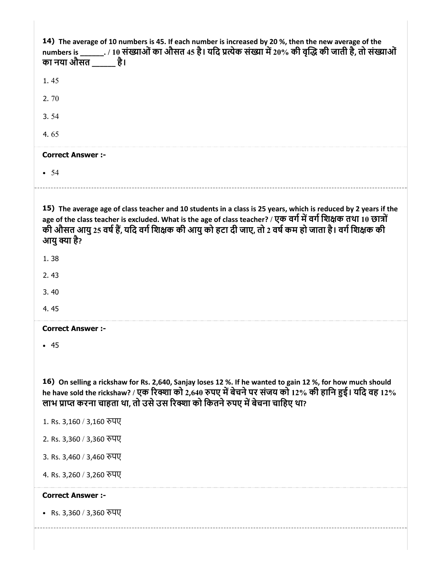| 14) The average of 10 numbers is 45. If each number is increased by 20 %, then the new average of the<br>numbers is _______. / 10 संख्याओं का औसत 45 है। यदि प्रत्येक संख्या में 20% की वृद्धि की जाती है, तो संख्याओं<br>का नया औसत है।                                                                                                                     |
|--------------------------------------------------------------------------------------------------------------------------------------------------------------------------------------------------------------------------------------------------------------------------------------------------------------------------------------------------------------|
| 1.45                                                                                                                                                                                                                                                                                                                                                         |
| 2.70                                                                                                                                                                                                                                                                                                                                                         |
| 3.54                                                                                                                                                                                                                                                                                                                                                         |
| 4.65                                                                                                                                                                                                                                                                                                                                                         |
| <b>Correct Answer :-</b>                                                                                                                                                                                                                                                                                                                                     |
| • 54                                                                                                                                                                                                                                                                                                                                                         |
|                                                                                                                                                                                                                                                                                                                                                              |
| 15) The average age of class teacher and 10 students in a class is 25 years, which is reduced by 2 years if the<br>age of the class teacher is excluded. What is the age of class teacher? / एक वर्ग में वर्ग शिक्षक तथा 10 छात्रों<br>की औसत आयु 25 वर्ष हैं, यदि वर्ग शिक्षक की आयु को हटा दी जाए, तो 2 वर्ष कम हो जाता है। वर्ग शिक्षक की<br>आयु क्या है? |
| 1.38                                                                                                                                                                                                                                                                                                                                                         |
| 2.43                                                                                                                                                                                                                                                                                                                                                         |
| 3.40                                                                                                                                                                                                                                                                                                                                                         |
| 4.45                                                                                                                                                                                                                                                                                                                                                         |
| <b>Correct Answer :-</b>                                                                                                                                                                                                                                                                                                                                     |
| • 45                                                                                                                                                                                                                                                                                                                                                         |
|                                                                                                                                                                                                                                                                                                                                                              |
| 16) On selling a rickshaw for Rs. 2,640, Sanjay loses 12 %. If he wanted to gain 12 %, for how much should<br>he have sold the rickshaw? / एक रिक्शा को 2,640 रुपए में बेचने पर संजय को 12% की हानि हुई। यदि वह 12%<br>लाभ प्राप्त करना चाहता था, तो उसे उस रिक्शा को कितने रुपए में बेचना चाहिए था?                                                         |
| 1. Rs. 3,160 / 3,160 रुपए                                                                                                                                                                                                                                                                                                                                    |
| 2. Rs. 3,360 / 3,360 रुपए                                                                                                                                                                                                                                                                                                                                    |
| 3. Rs. 3,460 / 3,460 रुपए                                                                                                                                                                                                                                                                                                                                    |
| 4. Rs. 3,260 / 3,260 रुपए                                                                                                                                                                                                                                                                                                                                    |
| <b>Correct Answer :-</b>                                                                                                                                                                                                                                                                                                                                     |
| • Rs. 3,360 / 3,360 रुपए                                                                                                                                                                                                                                                                                                                                     |
|                                                                                                                                                                                                                                                                                                                                                              |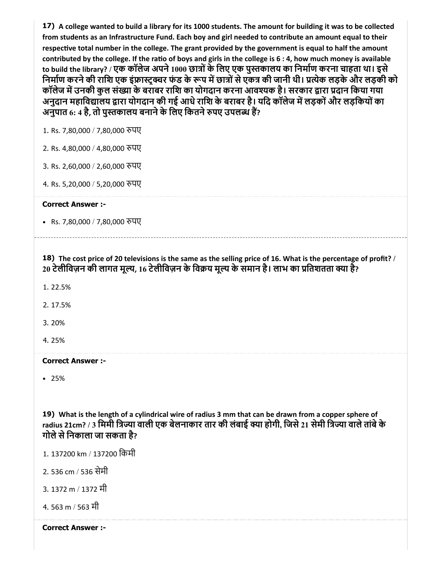17) A college wanted to build a library for its 1000 students. The amount for building it was to be collected from students as an Infrastructure Fund. Each boy and girl needed to contribute an amount equal to their respective total number in the college. The grant provided by the government is equal to half the amount contributed by the college. If the ratio of boys and girls in the college is  $6:4$ , how much money is available to build the library? / एक कॉलेज अपने 1000 छात्रों के लिए एक पुस्तकालय का निर्माण करना चाहता था। इसे निर्माण करने की राशि एक इंफ्रास्ट्क्चर फंड के रूप में छात्रों से एकत्र की जानी थी। प्रत्येक लड़के और लड़की को कॉलेज में उनकी कुल संख्या के बराबर राशि का योगदान करना आवश्यक है। सरकार द्वारा प्रदान किया गया अनुदान महाविद्यालय द्वारा योगदान की गई आधे राशि के बराबर है। यदि कॉलेज में लड़कों और लड़कियों का अनुपात 6: 4 है, तो पुस्तकालय बनाने के लिए कितने रुपए उपलब्ध हैं?

1. Rs. 7,80,000 / 7,80,000 रुपए

2. Rs. 4,80,000 / 4,80,000 पए

3. Rs. 2,60,000 / 2,60,000 पए

4. Rs. 5,20,000 / 5,20,000 पए

Correct Answer :-

• Rs. 7,80,000 / 7,80,000 रुपए

18) The cost price of 20 televisions is the same as the selling price of 16. What is the percentage of profit? / 20 टेलीविज़न की लागत मूल्य, 16 टेलीविज़न के विक्रय मूल्य के समान है। लाभ का प्रतिशतता क्या है?

1. 22.5%

2. 17.5%

3. 20%

4. 25%

Correct Answer :-

25%

19) What is the length of a cylindrical wire of radius 3 mm that can be drawn from a copper sphere of radius 21cm? / 3 मिमी त्रिज्या वाली एक बेलनाकार तार की लंबाई क्या होगी, जिसे 21 सेमी त्रिज्या वाले तांबे के गोले से निकाला जा सकता है?

1. 137200 km / 137200 िकमी

2. 536 cm / 536 सेमी

3. 1372 m / 1372 मी

4. 563 m / 563 मी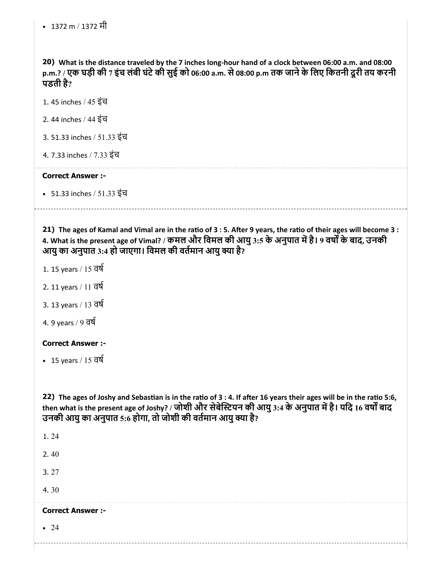• 1372 m / 1372 मी

20) What is the distance traveled by the 7 inches long-hour hand of a clock between 06:00 a.m. and 08:00 p.m.? / एक घड़ी की 7 इंच लंबी घंटेकी सुई को 06:00 a.m. से08:00 p.m तक जानेके िलए िकतनी दूरी तय करनी पडती है?

1. 45 inches / 45 इंच

2. 44 inches / 44 इंच

3. 51.33 inches / 51.33 इंच

4. 7.33 inches / 7.33 इंच

#### Correct Answer :-

51.33 inches / 51.33 इंच

21) The ages of Kamal and Vimal are in the ratio of 3 : 5. After 9 years, the ratio of their ages will become 3 : 4. What is the present age of Vimal? / कमल और विमल की आयु 3:5 के अनुपात में है। 9 वर्षों के बाद, उनकी आयु का अनुपात 3:4 हो जाएगा। विमल की वर्तमान आयु क्या है?

1. 15 years / 15 वष

2. 11 years / 11 वष

3. 13 years / 13 वष

4. 9 years / 9 वष

#### Correct Answer :-

15 years / 15 वष

22) The ages of Joshy and Sebastian is in the ratio of 3 : 4. If after 16 years their ages will be in the ratio 5:6, then what is the present age of Joshy? / जोशी और सेबेस्टियन की आयु 3:4 के अनुपात में है। यदि 16 वर्षों बाद उनकी आयु का अनुपात 5:6 होगा, तो जोशी की वर्तमान आयु क्या है?

1. 24 2. 40 3. 27 4. 30 Correct Answer :-  $\cdot\ 24$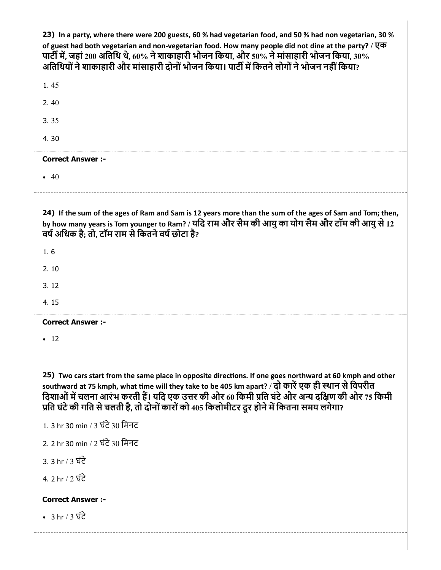| 23) In a party, where there were 200 guests, 60 % had vegetarian food, and 50 % had non vegetarian, 30 %<br>of guest had both vegetarian and non-vegetarian food. How many people did not dine at the party? / एक<br>पार्टी में, जहां 200 अतिथि थे, 60% ने शाकाहारी भोजन किया, और 50% ने मांसाहारी भोजन किया, 30%<br>अतिथियों ने शाकाहारी और मांसाहारी दोनों भोजन किया। पार्टी में कितने लोगों ने भोजन नहीं किया?   |
|---------------------------------------------------------------------------------------------------------------------------------------------------------------------------------------------------------------------------------------------------------------------------------------------------------------------------------------------------------------------------------------------------------------------|
| 1.45                                                                                                                                                                                                                                                                                                                                                                                                                |
| 2.40                                                                                                                                                                                                                                                                                                                                                                                                                |
| 3.35                                                                                                                                                                                                                                                                                                                                                                                                                |
| 4.30                                                                                                                                                                                                                                                                                                                                                                                                                |
| <b>Correct Answer :-</b>                                                                                                                                                                                                                                                                                                                                                                                            |
| • 40                                                                                                                                                                                                                                                                                                                                                                                                                |
| 24) If the sum of the ages of Ram and Sam is 12 years more than the sum of the ages of Sam and Tom; then,<br>by how many years is Tom younger to Ram? / यदि राम और सैम की आयु का योग सैम और टॉम की आयु से 12<br>वर्ष अधिक है; तो, टॉम राम से कितने वर्ष छोटा है?                                                                                                                                                    |
| 1.6                                                                                                                                                                                                                                                                                                                                                                                                                 |
| 2.10                                                                                                                                                                                                                                                                                                                                                                                                                |
| 3.12                                                                                                                                                                                                                                                                                                                                                                                                                |
| 4.15                                                                                                                                                                                                                                                                                                                                                                                                                |
| <b>Correct Answer :-</b>                                                                                                                                                                                                                                                                                                                                                                                            |
| $\cdot$ 12                                                                                                                                                                                                                                                                                                                                                                                                          |
| 25) Two cars start from the same place in opposite directions. If one goes northward at 60 kmph and other<br>southward at 75 kmph, what time will they take to be 405 km apart? / दो कारें एक ही स्थान से विपरीत<br>दिशाओं में चलना आरंभ करती हैं। यदि एक उत्तर की ओर 60 किमी प्रति घंटे और अन्य दक्षिण की ओर 75 किमी<br>प्रति घंटे की गति से चलती है, तो दोनों कारों को 405 किलोमीटर दूर होने में कितना समय लगेगा? |
| 1. 3 hr 30 min / 3 घंटे 30 मिनट                                                                                                                                                                                                                                                                                                                                                                                     |
| 2. 2 hr 30 min / 2 ਬੰਟੇ 30 मिनट                                                                                                                                                                                                                                                                                                                                                                                     |
|                                                                                                                                                                                                                                                                                                                                                                                                                     |
| <u>3. 3 hr / 3 ਬੰਟੇ</u>                                                                                                                                                                                                                                                                                                                                                                                             |
| 4. 2 hr / 2 घंटे                                                                                                                                                                                                                                                                                                                                                                                                    |
| <b>Correct Answer :-</b>                                                                                                                                                                                                                                                                                                                                                                                            |
| • 3 hr / 3 $\overrightarrow{u}$ d $\overrightarrow{c}$                                                                                                                                                                                                                                                                                                                                                              |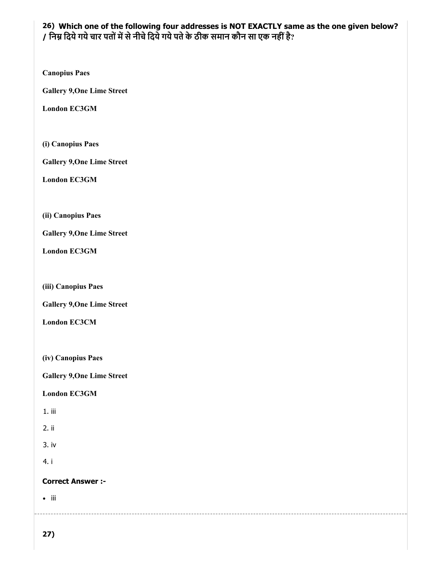## 26) Which one of the following four addresses is NOT EXACTLY same as the one given below? / निम्न दिये गये चार पतों में से नीचे दिये गये पते के ठीक समान कौन सा एक नहीं है?

Canopius Paes

Gallery 9,One Lime Street

London EC3GM

(i) Canopius Paes

Gallery 9,One Lime Street

London EC3GM

(ii) Canopius Paes

Gallery 9,One Lime Street

London EC3GM

(iii) Canopius Paes

Gallery 9,One Lime Street

London EC3CM

(iv) Canopius Paes

Gallery 9,One Lime Street

London EC3GM

1. iii

2. ii

3. iv

4. i

Correct Answer :-

 $\bullet$  iii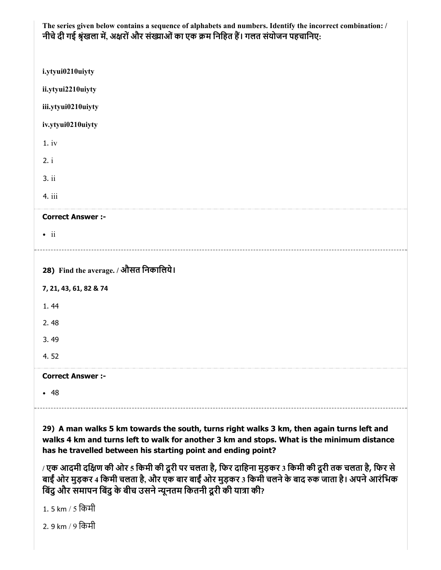| The series given below contains a sequence of alphabets and numbers. Identify the incorrect combination: / |
|------------------------------------------------------------------------------------------------------------|
| नीचे दी गई श्रृंखला में, अक्षरों और संख्याओं का एक क्रम निहित हैं। गलत संयोजन पहचानिए:                     |

| i.ytyui0210uiyty                                                   |
|--------------------------------------------------------------------|
| ii.ytyui2210uiyty                                                  |
| iii.ytyui0210uiyty                                                 |
| iv.ytyui0210uiyty                                                  |
| 1.iv                                                               |
| 2. i                                                               |
| 3.ii                                                               |
| 4. iii                                                             |
| <b>Correct Answer :-</b>                                           |
| $\bullet$ ii                                                       |
| -------------------------<br>28) Find the average. / औसत निकालिये। |
| 7, 21, 43, 61, 82 & 74                                             |
| 1.44                                                               |
| 2.48                                                               |
| 3.49                                                               |
| 4.52                                                               |
| <b>Correct Answer :-</b>                                           |
| • 48                                                               |

29) A man walks 5 km towards the south, turns right walks 3 km, then again turns left and walks 4 km and turns left to walk for another 3 km and stops. What is the minimum distance has he travelled between his starting point and ending point?

/ एक आदमी दिण की ओर 5 िकमी की दूरी पर चलता है, िफर दािहना मुड़कर 3 िकमी की दूरी तक चलता है, िफर से बाईं ओर मुड़कर 4 किमी चलता है, और एक बार बाईं ओर मुड़कर 3 किमी चलने के बाद रुक जाता है। अपने आरंभिक बिंदु और समापन बिंदु के बीच उसने न्यूनतम कितनी दूरी की यात्रा की?

1. 5 km / 5 िकमी

2. 9 km / 9 िकमी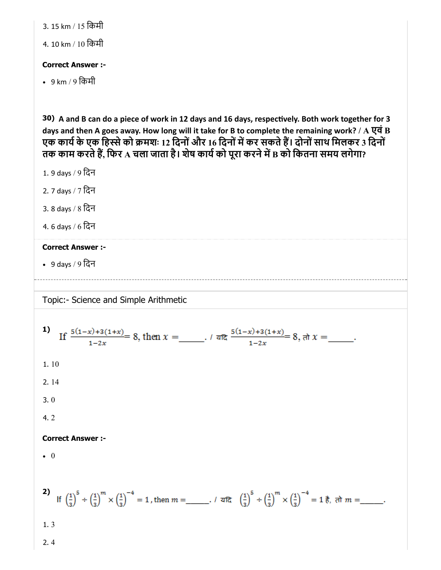3. 15 km / 15 िकमी

4. 10 km / 10 िकमी

## Correct Answer :-

• 9 km / 9 किमी

30) A and B can do a piece of work in 12 days and 16 days, respectively. Both work together for 3 days and then A goes away. How long will it take for B to complete the remaining work? / A  $\overline{q}$  B एक कार्य के एक हिस्से को क्रमशः 12 दिनों और 16 दिनों में कर सकते हैं। दोनों साथ मिलकर 3 दिनों तक काम करते हैं, फिर A चला जाता है। शेष कार्य को पूरा करने में B को कितना समय लगेगा?

1. 9 days / 9 िदन

- 2. 7 days / 7 िदन
- 3. 8 days / 8 िदन
- 4. 6 days / 6 िदन

## Correct Answer :-

9 days / 9 िदन

Topic:- Science and Simple Arithmetic

**1)** If 
$$
\frac{5(1-x)+3(1+x)}{1-2x} = 8
$$
, then  $x = \underline{\hspace{1cm}} \cdot \sqrt{x} \cdot \frac{5(1-x)+3(1+x)}{1-2x} = 8$ , where  $x = \underline{\hspace{1cm}} \cdot$ .

\n**1.** 10

\n**2.** 14

\n**3.** 0

\n**4.** 2

\n**Correct Answer:**

\n**6.** 0

\n**7.**  $\left(\frac{1}{3}\right)^5 \div \left(\frac{1}{3}\right)^m \times \left(\frac{1}{3}\right)^{-4} = 1$ , then  $m = \underline{\hspace{1cm}} \cdot \sqrt{x} \cdot \left(\frac{1}{3}\right)^5 \div \left(\frac{1}{3}\right)^m \times \left(\frac{1}{3}\right)^{-4} = 1$ , then  $m = \underline{\hspace{1cm}} \cdot \sqrt{x} \cdot \left(\frac{1}{3}\right)^5 \div \left(\frac{1}{3}\right)^m \times \left(\frac{1}{3}\right)^{-4} = 1$ , then  $m = \underline{\hspace{1cm}} \cdot \sqrt{x} \cdot \left(\frac{1}{3}\right)^5 \div \left(\frac{1}{3}\right)^m \times \left(\frac{1}{3}\right)^{-4} = 1$ , then  $m = \underline{\hspace{1cm}} \cdot \sqrt{x} \cdot \left(\frac{1}{3}\right)^{-4} \cdot \left(\frac{1}{3}\right)^{-4} = 1$ , then  $m = \underline{\hspace{1cm}} \cdot \sqrt{x} \cdot \left(\frac{1}{3}\right)^{-4} \cdot \left(\frac{1}{3}\right)^{-4} = 1$ , we have  $m = \underline{\hspace{1cm}} \cdot \sqrt{x} \cdot \left(\frac{1}{3}\right)^{-4} \cdot \left(\frac{1}{3}\right)^{-4} = 1$ , we have  $m = \underline{\hspace{1cm}} \cdot \sqrt{x} \cdot \left(\frac{1}{3}\right)^{-4} \cdot \left(\frac{1}{3}\right)^{-4} = 1$ , we have  $m = \underline{\hspace{1cm}} \cdot \sqrt{x} \cdot \left(\frac{$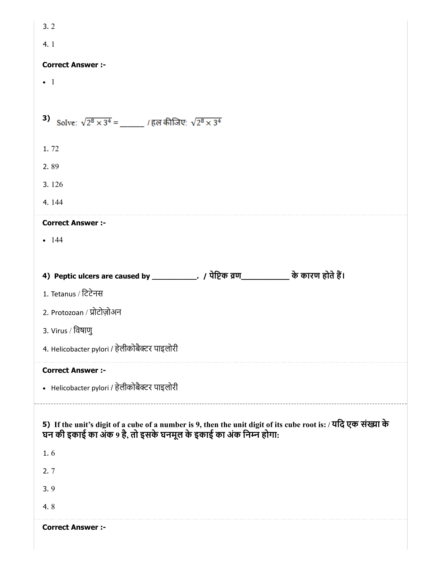| 3.2                                                                                                                                                                                       |
|-------------------------------------------------------------------------------------------------------------------------------------------------------------------------------------------|
| 4.1                                                                                                                                                                                       |
| <b>Correct Answer :-</b>                                                                                                                                                                  |
| $\bullet$ 1                                                                                                                                                                               |
|                                                                                                                                                                                           |
| 3) Solve: $\sqrt{2^8 \times 3^4} =$ / हल कीजिए: $\sqrt{2^8 \times 3^4}$                                                                                                                   |
| 1.72                                                                                                                                                                                      |
| 2.89                                                                                                                                                                                      |
| 3.126                                                                                                                                                                                     |
| 4.144                                                                                                                                                                                     |
| <b>Correct Answer :-</b>                                                                                                                                                                  |
| $-144$                                                                                                                                                                                    |
|                                                                                                                                                                                           |
|                                                                                                                                                                                           |
| 1. Tetanus / ਟਿਟੇਜਸ਼                                                                                                                                                                      |
| 2. Protozoan / प्रोटोज़ोअन                                                                                                                                                                |
| 3. Virus / विषाणु                                                                                                                                                                         |
| 4. Helicobacter pylori / हेलीकोबैक्टर पाइलोरी                                                                                                                                             |
| <b>Correct Answer :-</b>                                                                                                                                                                  |
| • Helicobacter pylori / हेलीकोबैक्टर पाइलोरी                                                                                                                                              |
| 5) If the unit's digit of a cube of a number is 9, then the unit digit of its cube root is: / यदि एक संख्या के<br>घन की इकाई का अंक 9 है, तो इसके घनमूल के इकाई का अंक निम्न होगा:<br>1.6 |
| 2.7                                                                                                                                                                                       |
| 3.9                                                                                                                                                                                       |
| 4.8                                                                                                                                                                                       |
|                                                                                                                                                                                           |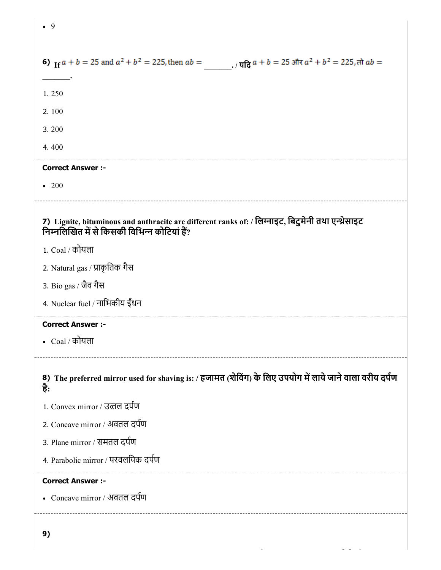| 6) If $a + b = 25$ and $a^2 + b^2 = 225$ , then $ab =$<br>. / यदि $a + b = 25$ और $a^2 + b^2 = 225$ , तो $ab =$                                    |
|----------------------------------------------------------------------------------------------------------------------------------------------------|
| 1.250                                                                                                                                              |
| 2.100                                                                                                                                              |
| 3.200                                                                                                                                              |
| 4.400                                                                                                                                              |
| <b>Correct Answer :-</b>                                                                                                                           |
| $\cdot\ 200$                                                                                                                                       |
| 7) Lignite, bituminous and anthracite are different ranks of: / लिग्नाइट, बिटुमेनी तथा एन्थ्रेसाइट<br>निम्नलिखित में से किसकी विभिन्न कोटियां हैं? |
| 1. Coal / कोयला                                                                                                                                    |
| 2. Natural gas / प्राकृतिक गैस                                                                                                                     |
| 3. Bio gas / जैव गैस                                                                                                                               |
| 4. Nuclear fuel / नाभिकीय ईंधन                                                                                                                     |
| <b>Correct Answer :-</b>                                                                                                                           |
| • $Coal / \overline{\sigma}$ यला                                                                                                                   |
| 8) The preferred mirror used for shaving is: / हजामत (शेविंग) के लिए उपयोग में लाये जाने वाला वरीय दर्पण<br>है:                                    |
| 1. Convex mirror / उत्तल दर्पण                                                                                                                     |
| 2. Concave mirror / अवतल दर्पण                                                                                                                     |
| 3. Plane mirror / समतल दर्पण                                                                                                                       |
| 4. Parabolic mirror / परवलयिक दर्पण                                                                                                                |
| <b>Correct Answer :-</b><br>• Concave mirror / अवतल दर्पण                                                                                          |
|                                                                                                                                                    |

• 9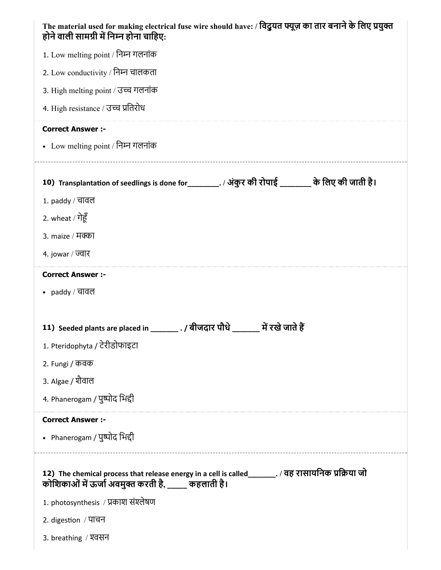| The material used for making electrical fuse wire should have: / विदुयत फ्यूज़ का तार बनाने के लिए प्रयुक्त<br>होने वाली सामग्री में निम्न होना चाहिए:      |
|-------------------------------------------------------------------------------------------------------------------------------------------------------------|
| 1. Low melting point / निम्न गलनांक                                                                                                                         |
| 2. Low conductivity / निम्न चालकता                                                                                                                          |
| 3. High melting point / उच्च गलनांक                                                                                                                         |
| 4. High resistance / उच्च प्रतिरोध                                                                                                                          |
| <b>Correct Answer :-</b>                                                                                                                                    |
| • Low melting point / निम्न गलनांक                                                                                                                          |
| 10) Transplantation of seedlings is done for_________. / अंकुर की रोपाई ________ के लिए की जाती है।                                                         |
| 1. paddy / चावल                                                                                                                                             |
| 2. wheat / गेहूँ                                                                                                                                            |
| 3. maize / मक्का                                                                                                                                            |
| 4. jowar / ज्वार                                                                                                                                            |
| <b>Correct Answer :-</b>                                                                                                                                    |
| • $p$ addy / चावल                                                                                                                                           |
|                                                                                                                                                             |
| 11) Seeded plants are placed in ________. / बीजदार पौधे _______ में रखे जाते हैं                                                                            |
| 1. Pteridophyta / टेरीडोफाइटा                                                                                                                               |
| 2. Fungi / कवक                                                                                                                                              |
| 3. Algae / शैवाल                                                                                                                                            |
| 4. Phanerogam / पुष्पोद भिद्दी                                                                                                                              |
| <b>Correct Answer :-</b>                                                                                                                                    |
| • Phanerogam / पुष्पोद भिद्दी                                                                                                                               |
| 12) The chemical process that release energy in a cell is called_______. / वह रासायनिक प्रक्रिया जो<br>कोशिकाओं में ऊर्जा अवमुक्त करती है, _____ कहलाती है। |
| 1. photosynthesis / प्रकाश संश्लेषण                                                                                                                         |
| 2. digestion / पाचन                                                                                                                                         |
| 3. breathing / श्वसन                                                                                                                                        |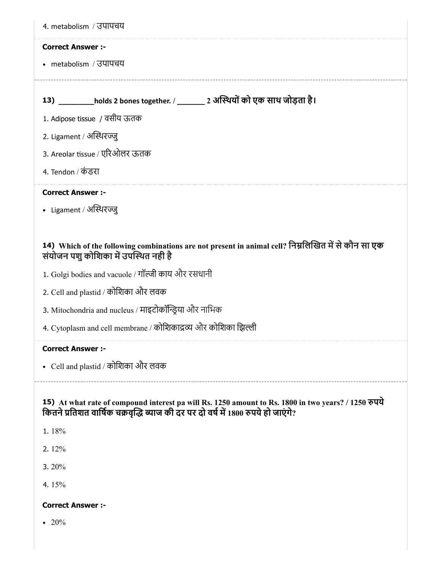| 4. metabolism / उपापचय                                                                                                                                                                    |
|-------------------------------------------------------------------------------------------------------------------------------------------------------------------------------------------|
| <b>Correct Answer:-</b>                                                                                                                                                                   |
| • metabolism / उपापचय                                                                                                                                                                     |
|                                                                                                                                                                                           |
| 13) ________holds 2 bones together. / _______ 2 अस्थियों को एक साथ जोड़ता है।                                                                                                             |
| 1. Adipose tissue / वसीय ऊतक                                                                                                                                                              |
| 2. Ligament / अस्थिरज्जु                                                                                                                                                                  |
| 3. Areolar tissue / एरिओलर ऊतक                                                                                                                                                            |
| 4. Tendon / कंडरा                                                                                                                                                                         |
| <b>Correct Answer :-</b>                                                                                                                                                                  |
| • Ligament / अस्थिरज्जू                                                                                                                                                                   |
|                                                                                                                                                                                           |
| 14) Which of the following combinations are not present in animal cell? निम्नलिखित में से कौन सा एक<br>संयोजन पशु कोशिका में उपस्थित नही है                                               |
| 1. Golgi bodies and vacuole / गॉल्जी काय और रसधानी                                                                                                                                        |
| 2. Cell and plastid / कोशिका और लवक                                                                                                                                                       |
| 3. Mitochondria and nucleus / माइटोकॉन्ड्रिया और नाभिक                                                                                                                                    |
| 4. Cytoplasm and cell membrane / कोशिकाद्रव्य और कोशिका झिल्ली                                                                                                                            |
| <b>Correct Answer :-</b>                                                                                                                                                                  |
| • Cell and plastid / कोशिका और लवक                                                                                                                                                        |
|                                                                                                                                                                                           |
| 15) At what rate of compound interest pa will Rs. 1250 amount to Rs. 1800 in two years? / 1250 रुपये<br>कितने प्रतिशत वार्षिक चक्रवृद्धि ब्याज की दर पर दो वर्ष में 1800 रुपये हो जाएंगे? |
| 1.18%                                                                                                                                                                                     |
| 2.12%                                                                                                                                                                                     |
| 3.20%                                                                                                                                                                                     |
| 4.15%                                                                                                                                                                                     |
| <b>Correct Answer :-</b>                                                                                                                                                                  |

 $\cdot\ 20\%$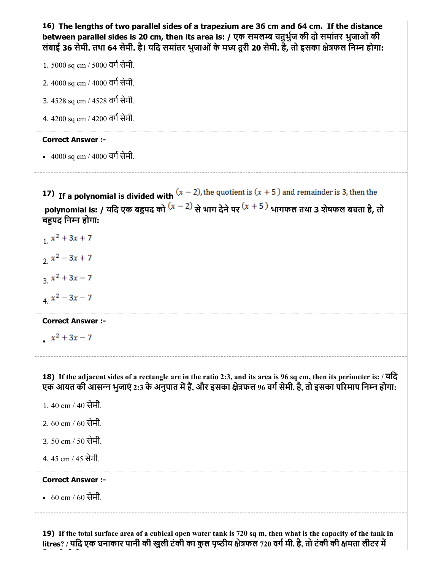16) The lengths of two parallel sides of a trapezium are 36 cm and 64 cm. If the distance between parallel sides is 20 cm, then its area is: / एक समलम्ब चतुर्भुज की दो समांतर भुजाओं की लंबाई 36 सेमी. तथा 64 सेमी. है। यदि समांतर भुजाओं के मध्य दूरी 20 सेमी. है, तो इसका क्षेत्रफल निम्न होगा: 1. 5000 sq cm / 5000 वर्ग सेमी. 2.  $4000$  sq cm /  $4000$  वर्ग सेमी. 3. 4528 sq cm / 4528 वर्ग सेमी. 4. 4200 sq cm / 4200 वर्ग सेमी. Correct Answer :- • 4000 sq cm / 4000 वर्ग सेमी. 17) If a polynomial is divided with polynomial is: / यदि एक बहुपद को  $(x-2)$  से भाग देने पर  $(x+5)$  भागफल तथा 3 शेषफल बचता है, तो बहपद निम्न होगा:  $x^2 + 3x + 7$  $2x^2-3x+7$  $x^2 + 3x - 7$  $x^2-3x-7$ Correct Answer :  $x^2 + 3x - 7$ 18) If the adjacent sides of a rectangle are in the ratio 2:3, and its area is 96 sq cm, then its perimeter is: / यिद एक आयत की आसन्न भुजाएं 2:3 के अनुपात में हैं, और इसका क्षेत्रफल 96 वर्ग सेमी. है, तो इसका परिमाप निम्न होगा: 1. 40 cm / 40 सेमी. 2. 60 cm / 60 सेमी. 3. 50 cm / 50 सेमी. 4. 45 cm / 45 सेमी. Correct Answer :- 60 cm / 60 सेमी.

19) If the total surface area of a cubical open water tank is 720 sq m, then what is the capacity of the tank in litres? / यदि एक घनाकार पानी की खुली टंकी का कुल पृष्ठीय क्षेत्रफल 720 वर्ग मी. है, तो टंकी की क्षमता लीटर में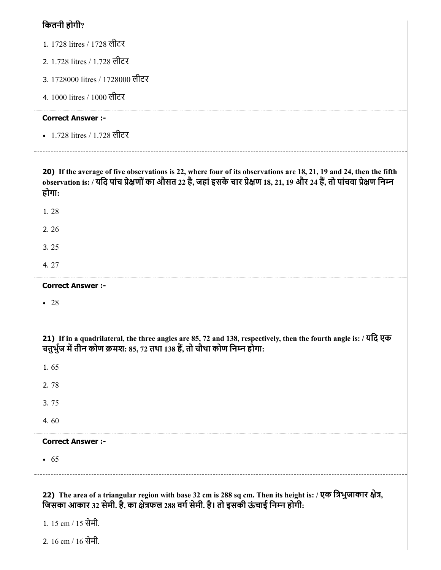## कितनी होगी $\overline{?}$

| 1. 1728 litres / 1728 लीटर                                                                                                                                                                                                                                |
|-----------------------------------------------------------------------------------------------------------------------------------------------------------------------------------------------------------------------------------------------------------|
| 2. 1.728 litres / 1.728 लीटर                                                                                                                                                                                                                              |
| 3. 1728000 litres / 1728000 लीटर                                                                                                                                                                                                                          |
| 4. 1000 litres / 1000 लीटर                                                                                                                                                                                                                                |
| <b>Correct Answer :-</b>                                                                                                                                                                                                                                  |
| • 1.728 litres / 1.728 लीटर                                                                                                                                                                                                                               |
| 20) If the average of five observations is 22, where four of its observations are 18, 21, 19 and 24, then the fifth<br>observation is: / यदि पांच प्रेक्षणों का औसत 22 है, जहां इसके चार प्रेक्षण 18, 21, 19 और 24 हैं, तो पांचवा प्रेक्षण निम्न<br>होगा: |
| 1.28                                                                                                                                                                                                                                                      |
| 2.26                                                                                                                                                                                                                                                      |
| 3.25                                                                                                                                                                                                                                                      |
| 4.27                                                                                                                                                                                                                                                      |
| <b>Correct Answer :-</b>                                                                                                                                                                                                                                  |
| $\bullet$ 28                                                                                                                                                                                                                                              |
|                                                                                                                                                                                                                                                           |
| 21) If in a quadrilateral, the three angles are 85, 72 and 138, respectively, then the fourth angle is: / यदि एक<br>चतुर्भुज में तीन कोण क्रमश: 85, 72 तथा 138 हैं, तो चौथा कोण निम्न होगा:                                                               |
| 1.65                                                                                                                                                                                                                                                      |
| 2.78                                                                                                                                                                                                                                                      |
| 3.75                                                                                                                                                                                                                                                      |
| 4.60                                                                                                                                                                                                                                                      |
| <b>Correct Answer :-</b>                                                                                                                                                                                                                                  |
| • 65                                                                                                                                                                                                                                                      |
| 22) The area of a triangular region with base 32 cm is 288 sq cm. Then its height is: / एक त्रिभुजाकार क्षेत्र,<br>जिसका आकार 32 सेमी. है, का क्षेत्रफल 288 वर्ग सेमी. है। तो इसकी ऊंचाई निम्न होगी:                                                      |
| 1. 15 cm / 15 सेमी.                                                                                                                                                                                                                                       |
| 2. 16 cm / 16 सेमी.                                                                                                                                                                                                                                       |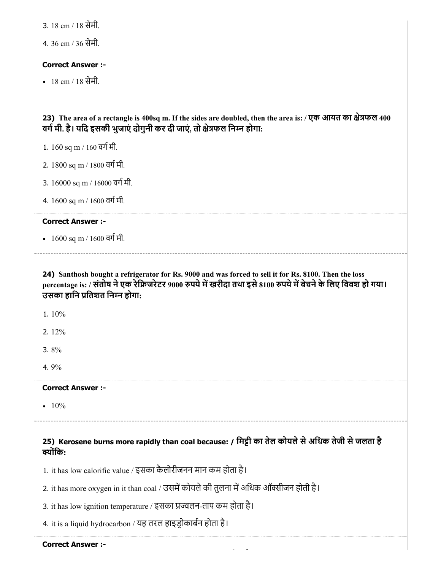3. 18 cm / 18 सेमी.

4. 36 cm / 36 सेमी.

## Correct Answer :-

18 cm / 18 सेमी.

23) The area of a rectangle is 400sq m. If the sides are doubled, then the area is: / एक आयत का क्षेत्रफल 400 वर्ग मी. है। यदि इसकी भुजाएं दोगुनी कर दी जाएं, तो क्षेत्रफल निम्न होगा:

- 1.  $160$  sq m /  $160$  वर्ग मी.
- 2. 1800 sq m / 1800 वर्ग मी.
- 3.  $16000$  sq m /  $16000$  वर्ग मी.
- 4. 1600 sq m / 1600 वर्ग मी.

#### Correct Answer :-

•  $1600 \text{ sq m}$  /  $1600 \text{ qT}$  मी.

## 24) Santhosh bought a refrigerator for Rs. 9000 and was forced to sell it for Rs. 8100. Then the loss percentage is: / संतोष ने एक रेफ्रिजरेटर 9000 रुपये में खरीदा तथा इसे 8100 रुपये में बेचने के लिए विवश हो गया। उसका हानि प्रतिशत निम्न होगा:

1. 10%

2. 12%

3. 8%

4. 9%

#### Correct Answer :-

•  $10%$ 

## 25) Kerosene burns more rapidly than coal because: / िमी का तेल कोयलेसेअिधक तेजी सेजलता है क्योंकि:

1. it has low calorific value / इसका कैलोरीजनन मान कम होता है।

2. it has more oxygen in it than coal / उसमें कोयले की तुलना में अधिक ऑक्सीजन होती है।

3. it has low ignition temperature / इसका प्रज्वलन-ताप कम होता है।

4. it is a liquid hydrocarbon / यह तरल हाइडोकाबन होता है।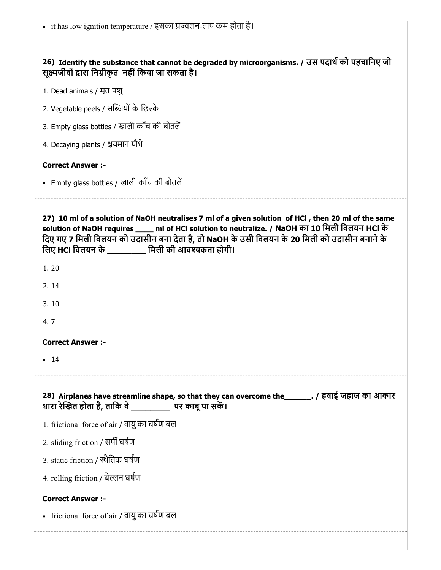- it has low ignition temperature / इसका प्रज्वलन-ताप कम होता है।

| 26) Identify the substance that cannot be degraded by microorganisms. / उस पदार्थ को पहचानिए जो<br>सूक्ष्मजीवों द्वारा निम्नीकृत  नहीं किया जा सकता है।                                                                                                                                                                                                                           |
|-----------------------------------------------------------------------------------------------------------------------------------------------------------------------------------------------------------------------------------------------------------------------------------------------------------------------------------------------------------------------------------|
| 1. Dead animals / मृत पशु                                                                                                                                                                                                                                                                                                                                                         |
| 2. Vegetable peels / सब्जियों के छिल्के                                                                                                                                                                                                                                                                                                                                           |
| 3. Empty glass bottles / खाली काँच की बोतलें                                                                                                                                                                                                                                                                                                                                      |
| 4. Decaying plants / क्षयमान पौधे                                                                                                                                                                                                                                                                                                                                                 |
| <b>Correct Answer :-</b>                                                                                                                                                                                                                                                                                                                                                          |
| • Empty glass bottles / खाली काँच की बोतलें                                                                                                                                                                                                                                                                                                                                       |
| 27) 10 ml of a solution of NaOH neutralises 7 ml of a given solution of HCl, then 20 ml of the same<br>solution of NaOH requires ____ ml of HCI solution to neutralize. / NaOH का 10 मिली विलयन HCI के<br>दिए गए 7 मिली विलयन को उदासीन बना देता है, तो NaOH के उसी विलयन के 20 मिली को उदासीन बनाने के<br>लिए HCI विलयन के सिली की आवश्यकता होगी।<br>1.20<br>2.14<br>3.10<br>4.7 |
| <b>Correct Answer :-</b>                                                                                                                                                                                                                                                                                                                                                          |
| $\bullet$ 14                                                                                                                                                                                                                                                                                                                                                                      |
| 28) Airplanes have streamline shape, so that they can overcome the _______. / हवाई जहाज का आकार<br>धारा रेखित होता है, ताकि वे ___________ पर काबू पा सकें।                                                                                                                                                                                                                       |
| 1. frictional force of air / वायु का घर्षण बल                                                                                                                                                                                                                                                                                                                                     |
| 2. sliding friction / सर्पी घर्षण                                                                                                                                                                                                                                                                                                                                                 |
| 3. static friction / स्थैतिक घर्षण                                                                                                                                                                                                                                                                                                                                                |
| 4. rolling friction / बेल्लन घर्षण                                                                                                                                                                                                                                                                                                                                                |
| <b>Correct Answer :-</b>                                                                                                                                                                                                                                                                                                                                                          |
| • frictional force of air / वायु का घर्षण बल                                                                                                                                                                                                                                                                                                                                      |